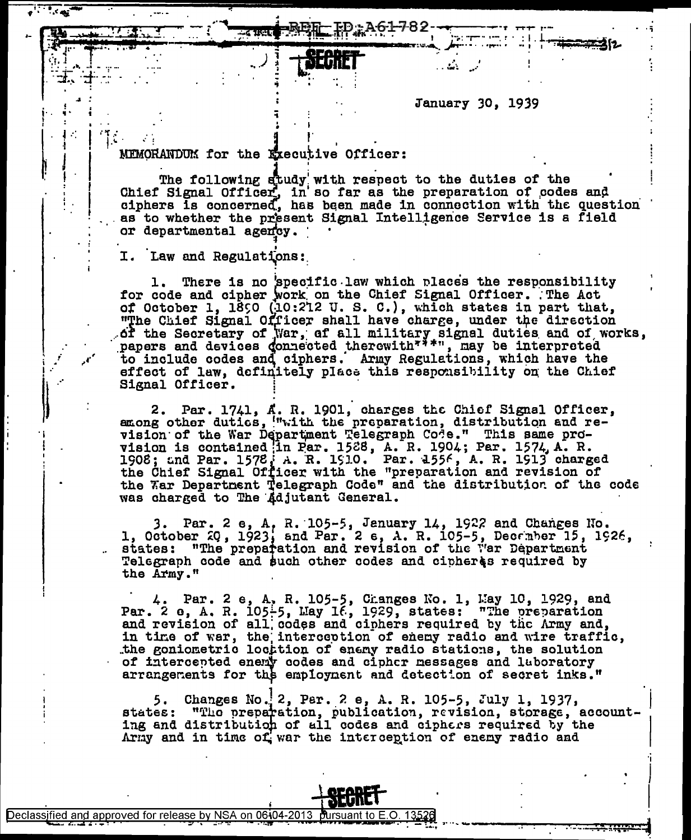January 30, 1939

#### MEMORANDUM for the Executive Officer:

a cuant

The following study with respect to the duties of the<br>Chief Signal Officer, in so far as the preparation of codes and ciphers is concerned, has been made in connection with the question as to whether the present Signal Intelligence Service is a field or departmental agency.

 $A61789 -$ 

I. Law and Regulations:

There is no specific law which places the responsibility 1. for code and cipher work on the Chief Signal Officer. The Act of October 1, 1890 (10:212 U.S. C.), which states in part that,<br>"The Chief Signal Officer shall have charge, under the direction of the Secretary of War, of all military signal duties and of works, papers and devices donnected therewith<sup>777</sup>, may be interpreted to include codes and ciphers. Army Regulations, which have the effect of law, definitely place this responsibility on the Chief Signal Officer.

2. Par. 1741, A. R. 1901, charges the Chief Signal Officer, among other duties, with the preparation, distribution and revision of the War Department Telegraph Code." This same provision is contained in Par. 1528, A. R. 1904; Par. 1574, A. R. 1908; and Par. 1578, A. R. 1910. Par. 1556, A. R. 1913 charged<br>the Chief Signal Officer with the "preparation and revision of the Tar Department Telegraph Code" and the distribution of the code was charged to The Adjutant General.

3. Par. 2 e, A, R. 105-5, Jenuary 14, 1922 and Changes No.<br>1, October 20, 1923, and Par. 2 e, A. R. 105-5, Decamber 15, 1926, states: "The preparation and revision of the War Department Telegraph code and such other codes and cipheres required by the Army."

4. Par. 2 e, A, R. 105-5, Changes No. 1, May 10, 1929, and<br>Par. 2 e, A. R. 105-5, May 16, 1929, states: "The preparation and revision of all codes and ciphers required by the Army and, in time of war, the interception of enemy radio and wire traffic,<br>the goniometric locttion of enemy radio stations, the solution of intercepted enemy codes and cipher messages and laboratory arrangements for the employment and detection of secret inks."

Changes No. 2, Par. 2 e, A. R. 105-5, July 1, 1937, states: "The preparation, publication, revision, storage, accounting and distribution of all codes and ciphers required by the Army and in time of war the interception of enemy radio and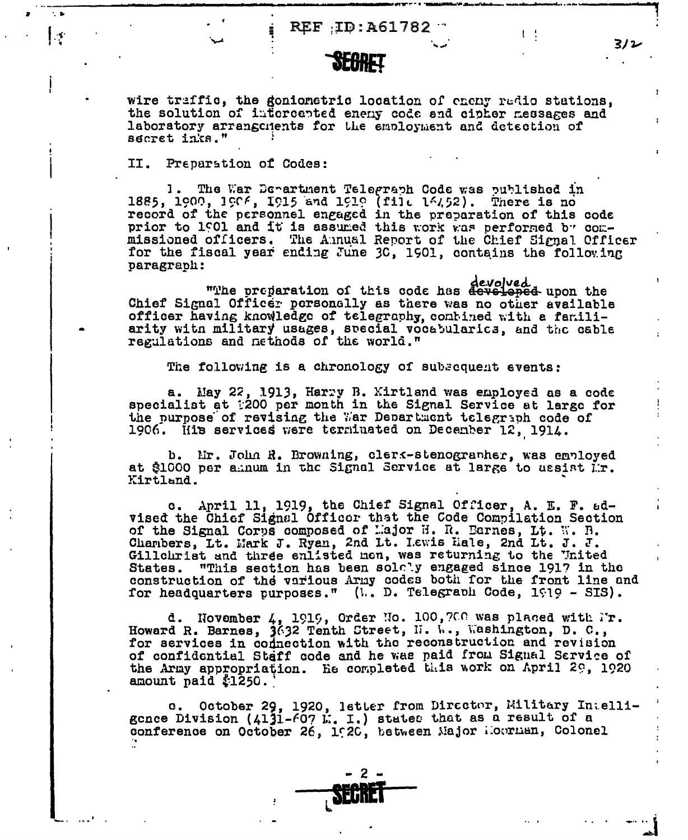REF ID: A61782

# **SEGRET**

wire traffic, the goniometric location of eneny radio stations, the solution of intercepted enemy code and cipher messages and laboratory arrangements for the employment and detection of secret inks."

II. Preparation of Codes:

l s

1. The War Department Telegraph Code was published in 1885, 1900, 1906, 1915 and 1919 (file 14452). There is no record of the personnel engaged in the preparation of this code prior to 1901 and it is assumed this work was performed by commissioned officers. The Annual Report of the Chief Signal Officer for the fiscal year ending June 30, 1901, contains the following paragraph:

devolved with the preparation of this code has devolved when the Chief Signal Officer personally as there was no other available officer having knowledge of telegraphy, contined with a familiarity witn military usages, special vocabularics, and the cable regulations and nethods of the world."

The following is a chronology of subsequent events:

a. May 22, 1913, Harry B. Kirtland was employed as a code specialist at :200 per month in the Signal Service at large for the purpose of revising the War Department telegraph code of 1906. His services were terminated on December 12, 1914.

b. Mr. John R. Browning, clerk-stenographer, was employed at \$1000 per amum in the Signal Service at large to ussist Mr. Kirtland.

c. April 11, 1919, the Chief Signal Officer, A. E. F. advised the Chief Signal Officer that the Code Compilation Section of the Signal Corps composed of Lajor H. R. Earnes, Lt. W. B. Charlers, Lt. Mark J. Ryan, 2nd Lt. I.ewis Hale, 2nd Lt. J. J. Gillchrist and three enlisted nen, was returning to the United "This section has been solely engaged since 1917 in the States. construction of the various Army codes both for the front line and for headquarters purposes." (W. D. Telegraph Code, 1919 - SIS).

d. November 4, 1919, Order No. 100, 700 was placed with Mr. Howard R. Barnes, 3632 Tenth Street, N. W., Washington, D. C., for services in codnection with the reconstruction and revision of confidential Staff code and he was paid from Signal Service of the Army appropriation. He completed this work on April 29, 1920 amount paid \$1250.

e. October 29, 1920, letter from Director, Military Intelligence Division (4131-607  $\mathbb{K}$ . I.) states that as a result of a conference on October 26, 1920, between Major Hourman, Colonel



3/2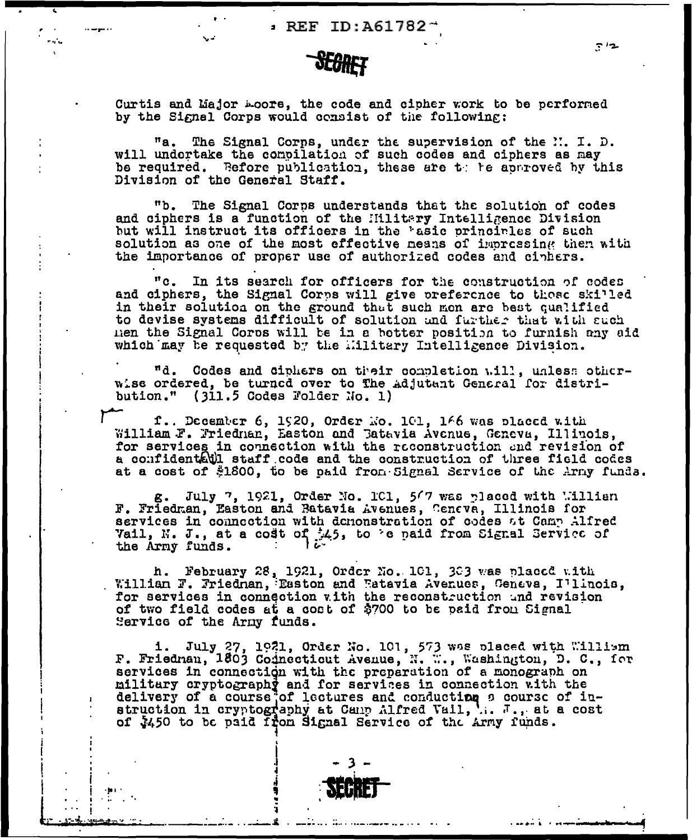Curtis and Major moore, the code and cipher work to be performed by the Signal Corps would consist of the following:

The Signal Corps, under the supervision of the N. I. D.  $^{\prime\prime}$ a. will undertake the compilation of such codes and ciphers as may be required. Refore publication, these are the to re approved by this Division of the General Staff.

The Signal Corps understands that the solution of codes "b. and ciphers is a function of the Hilitary Intelligence Division but will instruct its officers in the 'asic principles of such solution as one of the most effective neans of impressing then with the importance of proper use of authorized codes and ciphers.

 $"c.$ In its search for officers for the construction of codes and ciphers, the Signal Corps will give preference to those skilled in their solution on the ground that such mon are best qualified to devise systems difficult of solution and further that with such men the Signal Corps will be in a botter position to furnish any aid which may be requested by the military Intelligence Division.

"d. Codes and ciphers on their completion will, unless otherwise ordered, be turned over to the adjutant General for distribution." (311.5 Codes Folder No. 1)

f.. December 6, 1920, Order No. 101, 166 was placed with William F. Friednan, Easton and Batavia Avenue, Geneva, Illinois, for services in connection with the reconstruction and revision of a confidenthil staff code and the construction of three field codes at a cost of \$1800, to be paid from Signal Service of the Army funds.

July 7, 1921, Order No. 101, 567 was placed with William g. F. Friedman, Easton and Batavia Avenues, Ceneva, Illinois for services in connection with demonstration of codes at Camp Alfred Vail, N. J., at a cost of 145, to 'e paid from Signal Service of the Army funds.

h. February 28, 1921, Order No. 101, 303 was placed with Willian F. Friednan, Easton and Fatavia Avenues, Geneva, Illinois, for services in connection with the reconstruction and revision of two field codes at a cost of \$700 to be paid from Signal Service of the Army funds.

1. July 27, 1921, Order No. 101, 573 was placed with William F. Friednan, 1803 Connecticut Avenue, N. W., Washington, D. C., for services in connection with the preparation of a monograph on military cryptography and for services in connection with the delivery of a course of lectures and conducting a course of instruction in cryptography at Canp Alfred Vail, ... . at a cost of \$450 to be paid Ifon Signal Service of the Army funds.

 $712$ 

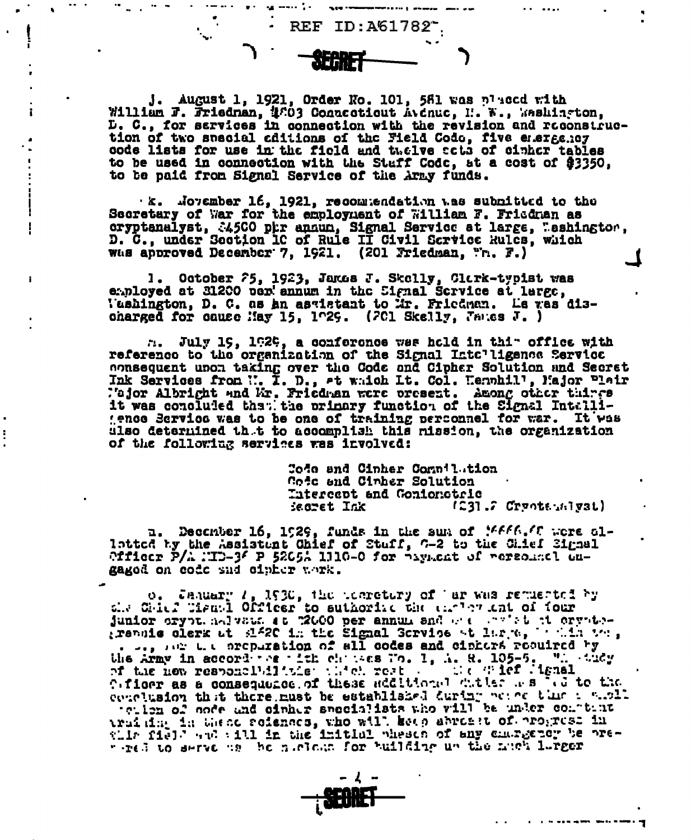**REF ID: A61782** 

У.

ţ

f.

J. August 1, 1921, Order No. 101, 581 was placed with William F. Friedman, 4003 Connecticut Avenue, I. W., Washington, D. C., for sarvices in connection with the revision and reconstruction of two special aditions of the Field Codo, five energency code lists for use in the field and twelve acts of cinher tables to be used in connection with the Staff Code, at a cost of \$3350, to be paid from Signal Service of the Army funds.

k. November 16, 1921, recommendation was submitted to the Secretary of War for the employment of William F. Friedman as oryptanalyst, 34500 phr annun, Signal Service at large, Mashington, D. C., under Section IC of Rule II Civil Scrvice Rules, which Was approved December 7, 1921. (201 Friedman, "r. F.)

1. October 75, 1923, Janus J. Skelly, Clark-typist was<br>employed at 31200 per annum in the Signal Service at large, l'ashington. D. C. as an asglatant to Mr. Friedman. Le vas discharged for cause May 15.  $1^{\circ}29$ . (201 Skelly, Jancs J.)

n. July 19, 1929, a conference was hold in thim office with reference to the organization of the Signal Intelligence Service consequent upon taking over the Code and Cipher Solution and Secret Ink Services from ... I. D., at which It. Col. Hennhill, Major Plair<br>Major Albright and Mr. Friedman were present. Among other things it was concluded that the primary function of the Signal Intalligence Service was to be one of training perconnel for war. It was also determined that to accomplish this mission, the organization of the following services was involved:

> Code and Cinher Compilation Code and Cinher Solution Thiereept and Gonionotric  $(231.7$  Crypters  $321$ iesret Ink

n. December 16, 1929, funds in the sun of MAAAAC were al-<br>latted by the Assistant Chief of Stuff, 6-2 to the Chief Signal Officer  $P/\lambda$  :TD-3<sup>6</sup> P 5205 $\lambda$  1110-0 for  $\gamma_{\text{syn,cnt}}$  of rerequently cugaged on code and cipher work.

o. Jaquary 1, 1930, the tearetury of ar was requested by sit Chirf Pismal Officer to suthorize the carder and of four junior expectation of the state of the state of translated that the signal Service of Mirre, which was the signal Service of Mirre, which was the Army in accordance with characters Wo. 1, A. R. 105-5. When they at the new responsibilities which rest and the graduate Cificer as a consequence of these additional witter as we to the conclusion that there must be established during beach that i with teilen of node and oinher seccialists who will be under continue truiting in these referees, who will keep abreast of progress in this field and will in the initial pheson of any chargepor be prewerel to serve as the nucleus for building up the nuck lurger

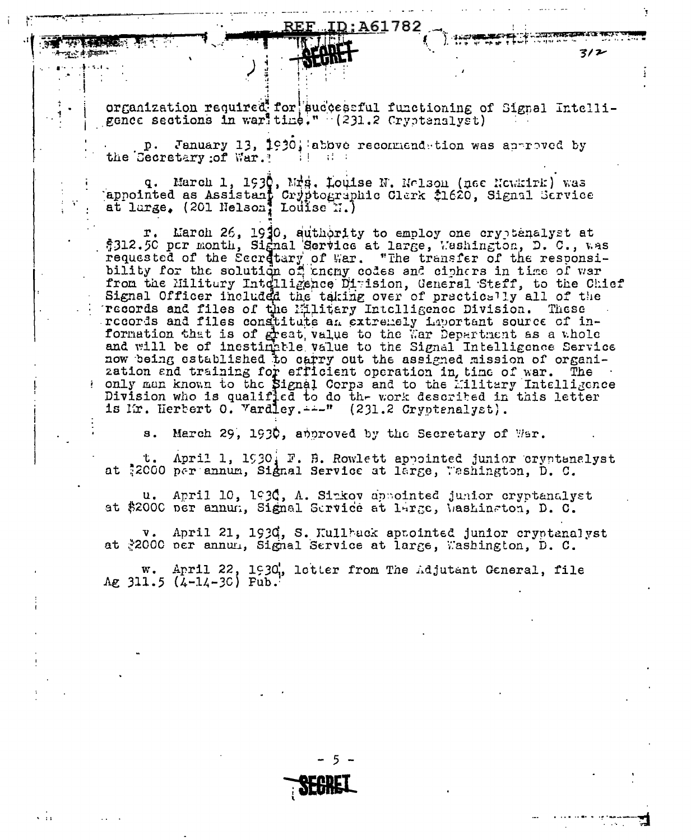61782

. wat kuta

 $3/2$ 

organization required for successful functioning of Signal Intelligence sections in war' time." (231.2 Cryptanslyst)

p. January 13, 1930; abbve reconnendetion was approved by the Georetary of War. ?

q. March 1, 1930, Mrs. Louise N. Nolson (nee Newsirk) was appointed as Assistant Cryptographic Clerk \$1620, Signal Scrvice at large, (201 Nelson, Louise N.)

r. March 26, 1930, authority to employ one cryptenalyst at \$312.50 pcr month, Signal Service at large, Washington, D. C., was requested of the Secretary of War. "The transfer of the responsibility for the solution of energy codes and ciphers in time of war. from the Militury Intelligence Dimision, General Staff, to the Chief Signal Officer included the taking over of practically all of the records and files of the Military Intelligence Division. These records and files constitute an extremely important source of information that is of great value to the War Department as a whole<br>and will be of inestimately value to the Signal Intelligence Service<br>now being established to carry out the assigned mission of organization and training for efficient operation in, time of war. The only man known to the Signal Corps and to the Military Intelligence Division who is qualified to do the work described in this letter is Mr. Herbert O. Vardley.  $\rightarrow$  " (231.2 Cryptenalyst).

March 29, 1930, approved by the Secretary of Wer.  $s_{\bullet}$ 

April 1, 1930, F. B. Rowlett appointed junior cryptanalyst ι. at \$2000 per annum, Signal Service at large, Washington, D. C.

u. April 10, 1930, A. Sinkov appointed junior cryptanalyst at \$2000 per annum, Signal Service at large, Mashinston, D. C.

v. April 21, 1930, S. Kullhack aptointed junior cryptanalyst at \*2000 per annul, Signal Service at large, Washington, D. C.

w. April 22, 1930, letter from The Adjutant General, file Ag  $311.5$  (4-14-30) Fub.

 $\sqrt{11}$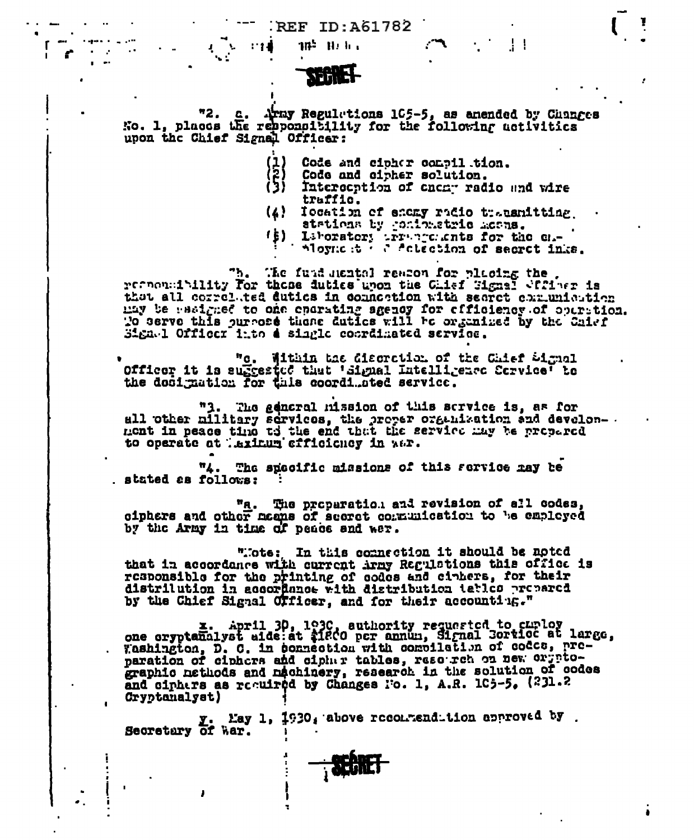**REF ID:A61782** 

 $\mathbf{1}$ 

Ţ



18 U.L.

- 119

"2. c. Army Regulations 105-5, as anended by Changes No. 1, places the rebponattility for the following activities upon the Chief Signal Officer:

- Code and cipher consilition.
- Code and cipher solution.
- Intereention of enemy radio and wire traffic.
- (4) Iocation of encay radio transmitting stations by confinatric moons.
- 
- (b) Laboratory irreprenents for the ch-<br>hoynest of actestion of secret inks.

The fund nexted readen for placing the recommunities for those duties upon the Ghief Signal Sffiner is that all correlated duties in connection with searct communication may be westgaed to one eparating sgency for officiency of operation. To serve this purpose there duties will be organized by the Chief Signel Officer into a single coordinated service.

"c. Within the discretion of the Chief Signal Officer it is suffected that 'Signal Intelligence Cervice' to<br>the dosignation for this coordinated service.

"3. The gencral mission of this scrvice is, as for all other military services, the proper organization and develon-<br>mont in peace time to the end that the service may be propered<br>to operate at laxinum efficiency in war.

"4. The specific missions of this service may be stated as follows:

"a. The proparation and revision of all codes, oiphers and other means of secret communication to be employed by the Army in time of peace and war.

"Tote; In this commection it should be noted that in accordance with current irmy Regulations this office is<br>responsible for the printing of codes and cinters, for their distrilution in accordance with distribution tatles prepared by the Chief Signal Officer, and for their accounting."

z. April 30, 1930, authority requested to curloy<br>one cryptanalyst aide:at \$1800 pcr annum, Signal Cortice at large, Tashington, D. C. in connection with compilation of codes, pre-<br>paration of ciphers and cipher tables, resourch on new orypto-<br>graphic nethods and nachinery, research in the solution of codes and ciphers as recuired by Changes No. 1, A.R. 105-5, (231.2 Cryptonalyst)

Y. May 1, 1930, above reconmendition approved by. Secretary of War.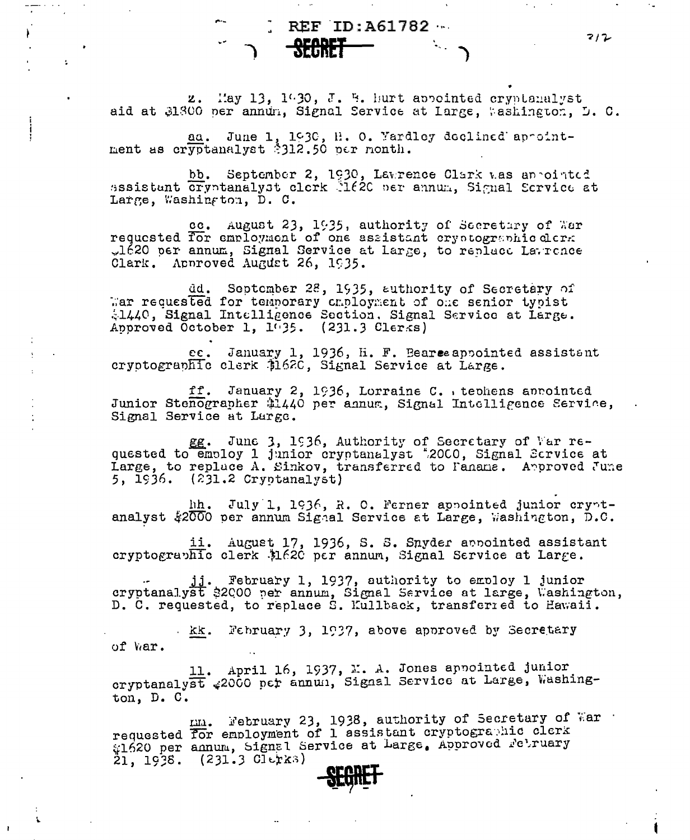$REF ID: A61782...$ 

 $7/2$ 

z. May 13, 1930, J. B. hurt appointed cryptanalyst aid at 31300 per annum, Signal Service at Large, Washington, D. C.

aa. June 1, 1930, H. O. Yardley declined appointment as cryptanalyst \$312.50 per month.

÷.

bb. September 2, 1930, Lawrence Clark was appointed assistant cryptanalyst clerk let en annum. Signal Service at Large, Washington, D. C.

cc. August 23, 1935, authority of Secretary of War requested for employment of one assistant ery otographic clerk "1620 per annum, Signal Service at Large, to replace Latrence Clark. Approved August 26, 1935.

dd. September 28, 1935, authority of Secretary of war requested for temporary criployment of one senior typist 41440, Signal Intelligence Section. Signal Service at Large. Approved October 1, 1035. (231.3 Clerks)

ec. January 1, 1936, H. F. Bearce appointed assistent cryptographic clerk \$162C, Signal Service at Large.

ff. January 2, 1936, Lorraine C. . teohens aprointed Junior Stenographer \$1440 per annum, Signal Intelligence Service, Signal Service at Large.

eg. June 3, 1936, Authority of Secretary of War re-<br>quested to employ 1 junior cryptanalyst #2000, Signal Scrvice at Large, to replace A. Sinkov, transferred to Faname. Approved June 5, 1936. (231.2 Cryptanalyst)

hh. July 1, 1936, R. O. Ferner appointed junior cryptanalyst \$2000 per annum Signal Service at Large, Washington, D.C.

ii. August 17, 1936, S. S. Snyder annointed assistant cryptographic clerk \$1620 per annum, Signal Service at Large.

jj. February 1, 1937, authority to employ 1 junior cryptanalyst \$2000 per annum, Signal Service at large, Washington, D. C. requested, to replace S. Kullback, transferred to Hawaii.

kk. February 3, 1937, above approved by Secretary of War.

11. April 16, 1937, M. A. Jones appointed junior cryptanalyst #2000 pcr annun, Signal Service at Large, Washington, D. C.

mm. February 23, 1938, authority of Secretary of War<br>requested for employment of 1 assistant cryptographic clerk #1620 per annum, Signal Service at Large, Approved February  $21, 1938.$  (231.3 Clerks)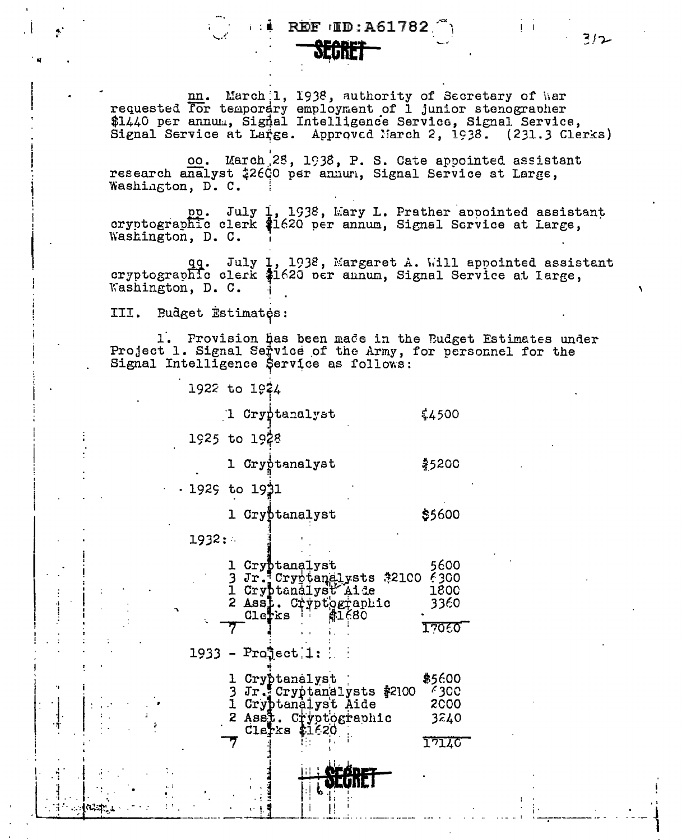### **REF IID: A61782**



nn. March 1, 1938, authority of Secretary of War<br>requested for temporary employment of 1 junior stenographer<br>\$1440 per annum, Signal Intelligence Service, Signal Service, Signal Service at Large. Approved March 2, 1938. (231.3 Clerks)

oo. March 28, 1938, P. S. Cate appointed assistant research analyst #2600 per annun, Signal Service at Large, Washington, D. C.

pp. July 1, 1938, Mary L. Prather appointed assistant<br>cryptographic clerk \$1620 per annum, Signal Scrvice at Large, Washington, D. C.

qq. July 1, 1938, Margaret A. Will appointed assistant cryptographic clerk \$1620 per annum, Signal Service at large, Washington, D. C.

III. Budget Estimates:

1. Provision has been made in the Budget Estimates under Project 1. Signal Service of the Army, for personnel for the Signal Intelligence Service as follows:

1922 to 1924

1 Cryptanalyst

1925 to 1928

1 Cryptanalyst

\$5200

 $$4500$ 

. 1925 to 19**3**1

1 Cryptanalyst \$5600

 $1932:$ 

|  | Clerks | Cryptanalyst<br>Jr. Cryptanalysts #2100 6300<br>Cryptanalyst Aide<br>2 Ass1. Cryptographic<br>41680    | 5600<br>1800<br>3360<br>17060                  |
|--|--------|--------------------------------------------------------------------------------------------------------|------------------------------------------------|
|  |        | $1933 -$ Project $1:$                                                                                  |                                                |
|  |        | Cryptanalyst<br>Jr. Cryptanalysts \$2100<br>Cryptanalyst Aide<br>2 Asst. Cryptographic<br>Clerks tir20 | \$5600<br>4300<br>2000<br>3240<br><b>17140</b> |
|  |        | 11 L                                                                                                   |                                                |

312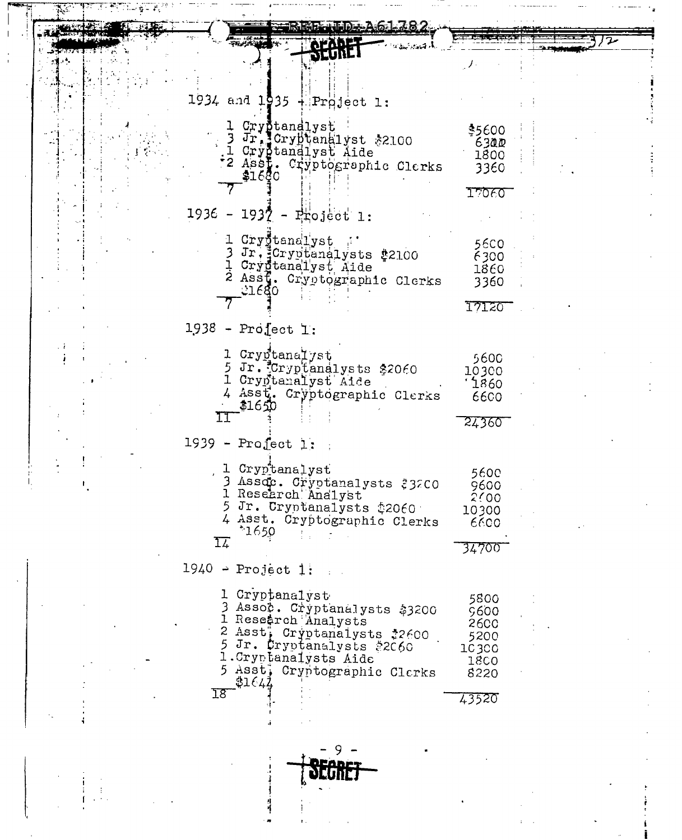| IDE: A6-1 782                                       |                     |  |
|-----------------------------------------------------|---------------------|--|
|                                                     |                     |  |
|                                                     |                     |  |
|                                                     |                     |  |
| 1934 and 1935 $+$ Project 1:                        |                     |  |
|                                                     |                     |  |
| 1 Crystandlyst<br>3 Ir. Crybtanalyst \$2100         | \$5600              |  |
| 1 Cryptanalyst Aide                                 | 6300<br>1800        |  |
| "2 Assi. Cryptographic Clerks                       | 3360                |  |
| \$1680                                              |                     |  |
|                                                     | I7060               |  |
| 1936 - 1937 - Project 1:                            |                     |  |
| 1 Crygtanalyst                                      | 56CO                |  |
| 3 Jr. Cryptanalysts #2100                           | 6300                |  |
| 1 Crygtanalyst Aide<br>2 Assf. Cryptographic Clerks | 1860                |  |
| 11680                                               | 3360                |  |
|                                                     | 17120               |  |
| $1938$ - Project 1:                                 |                     |  |
|                                                     |                     |  |
| 1 Cryptanalyst<br>5 Jr. Cryptanalysts \$2060        | 5600<br>10300       |  |
| 1 Cryptanalyst Aide                                 | 1860                |  |
| 4 Asst. Cryptographic Clerks<br>\$1650              | 6600                |  |
| 11                                                  | 24360               |  |
| $1939$ - Profect 1:                                 |                     |  |
|                                                     |                     |  |
| 1 Cryptanalyst                                      | 5600                |  |
| 3 Assoc. Cryptanalysts #32CO<br>1 Research Analyst  | 9600<br>2000        |  |
| 5 Jr. Cryptanalysts \$2060                          | 10300               |  |
| 4 Asst. Cryptographic Clerks<br>$*1650$             | 6600                |  |
| I7                                                  |                     |  |
| $1940$ - Project 1:                                 |                     |  |
|                                                     |                     |  |
| 1 Cryptanalyst                                      | 5800                |  |
| Assoc. Cryptanalysts \$3200<br>1 Research Analysts  | 9600<br><b>2600</b> |  |
| 2 Asst; Cryptanalysts \$2600                        | 5200                |  |
| 5 Jr. Cryptanalysts \$2060<br>1. Cryptanalysts Aide | 10300               |  |
| Asst, Cryptographic Clerks                          | <b>18CO</b><br>8220 |  |
| 31642<br>I8                                         |                     |  |
|                                                     | 43520               |  |
|                                                     |                     |  |

 $\mathbf{I}$ 

 $\mathbf{f}$ 

 $\begin{array}{c} \n\vdots \\
\vdots \\
\vdots \\
\vdots\n\end{array}$ 

 $\ddot{\cdot}$ 

 $-5.2 - -1.$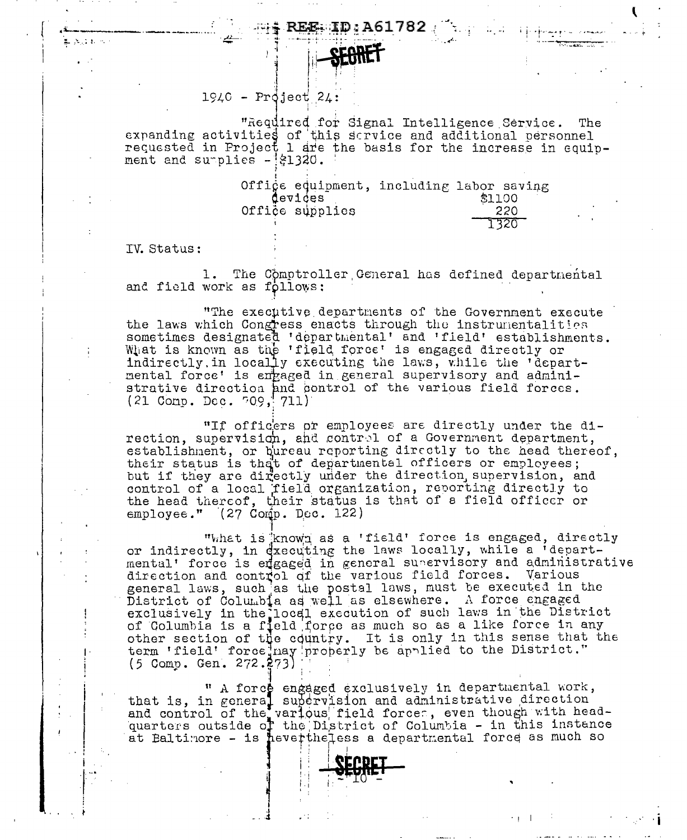### **REE: ID: A61782**



## $1940$  - Project 24:

"Required for Signal Intelligence Service. The expanding activities of this service and additional personnel<br>requested in Project 1 are the basis for the increase in equipment and surplies - \$1320.

> Office equipment, including labor saving devices \$1100 Office supplies 220 1320

IV. Status:

ALCOHOL: NO

1. The Comptroller General has defined departmental and field work as follows:

"The executive departments of the Government execute the laws which Congress enacts through the instrumentalities sometimes designated 'departmental' and 'field' establishments.<br>What is known as the 'field force' is engaged directly or indirectly, in locally executing the laws, while the 'departmental force' is engaged in general supervisory and administrative direction and control of the various field forces.  $(21$  Comp. Dec.  $709, 711)$ 

"If officers or employees are directly under the di-<br>rection, supervision, and control of a Government department, establishment, or bureau reporting directly to the head thereof. their status is that of departmental officers or employees; but if they are directly under the direction supervision, and control of a local field organization, reporting directly to the head thereof, their status is that of a field officer or  $\epsilon$ mployee." (27 Comp. Dec. 122)

"What is known as a 'field' force is engaged, directly or indirectly, in dxecuting the laws locally, while a 'departmental' force is engaged in general supervisory and administrative direction and control of the various field forces. Various direction and control of the various field forces. various<br>general laws, such as the postal laws, must be executed in the<br>District of Columbia as well as elsewhere. A force engaged<br>exclusively in the local execution of suc

" A force engaged exclusively in departmental work,<br>that is, in general supervision and administrative direction<br>and control of the various field forces, even though with head-<br>quarters outside of the District of Columbia at Baltimore - is hevertheless a departmental force as much so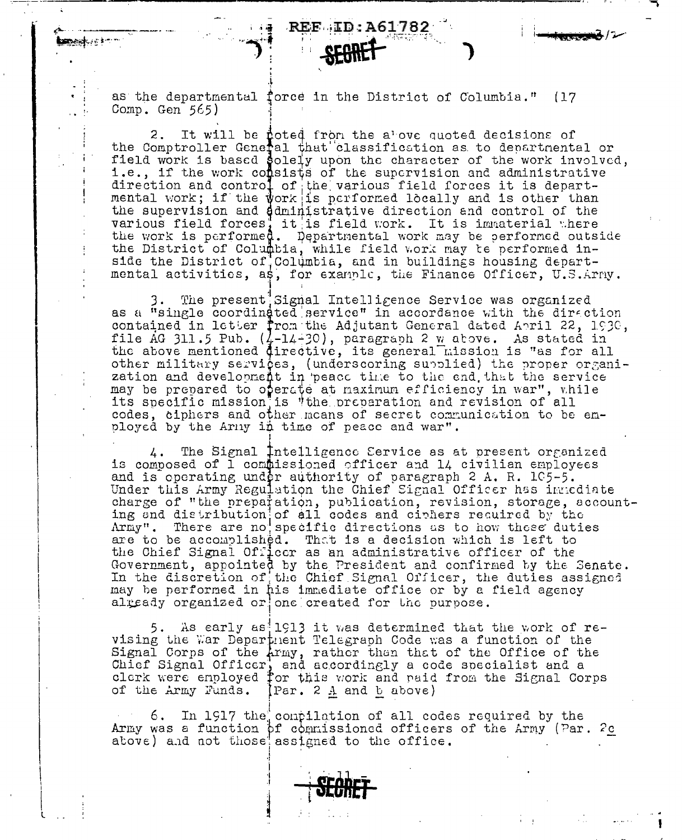as the departmental force in the District of Columbia." (17 Comp. Gen  $565$ )

REF ID:A61782

It will be poted from the above quoted decisions of  $2.$ the Comptroller General that classification as to departmental or field work is based solely upon the character of the work involved, i.e., if the work consists of the supervision and administrative direction and control of the various field forces it is depart-<br>mental work; if the work is performed locally and is other than the supervision and ddministrative direction and control of the various field forces, it is field work. It is immaterial where the work is performed. Departmental work may be performed outside the District of Columbia, while field work may te performed inside the District of Columbia, and in buildings housing departmental activities, as, for example, the Finance Officer, U.S.Arny.

The present Signal Intelligence Service was organized as a "single coordinated service" in accordance with the direction contained in letter from the Adjutant General dated Anril 22, 1930, file AG 311.5 Pub.  $(\frac{1}{4}-14-30)$ , paragraph 2 w above. As stated in the above mentioned directive, its general mission is "as for all other military services, (underscoring supplied) the proper organization and development in peace time to the end that the service may be prepared to operate at naximum efficiency in war", while its specific mission, is "the preparation and revision of all codes, ciphers and other means of secret communication to be employed by the Army in time of peace and war".

The Signal Intelligence Cervice as at present organized 4. is composed of 1 commissioned officer and 14 civilian employees and is operating under authority of paragraph 2 A. R. 105-5. Under this Army Regulation the Chief Signal Officer has intediate charge of "the preparation, publication, revision, storage, accounting end distribution of all codes and ciphers required by the Army". There are no specific directions as to how these duties are to be accomplished. That is a decision which is left to the Chief Signal Officer as an administrative officer of the Government, appointed by the President and confirmed by the Senate.<br>In the discretion of the Chief Signal Officer, the duties assigned may be performed in his immediate office or by a field agency already organized or one created for the purpose.

5. As early as 1913 it was determined that the work of  $re$ vising the War Department Telegraph Code was a function of the Signal Corps of the Army, rather than that of the Office of the Chief Signal Officer, and accordingly a code specialist and a<br>clerk were enployed for this work and naid from the Signal Corps<br>of the Army Funds. [Par. 2 A and b above)

6. In 1917 the contilation of all codes required by the Army was a function of commissioned officers of the Army (Par. 2c above) and not those assigned to the office.

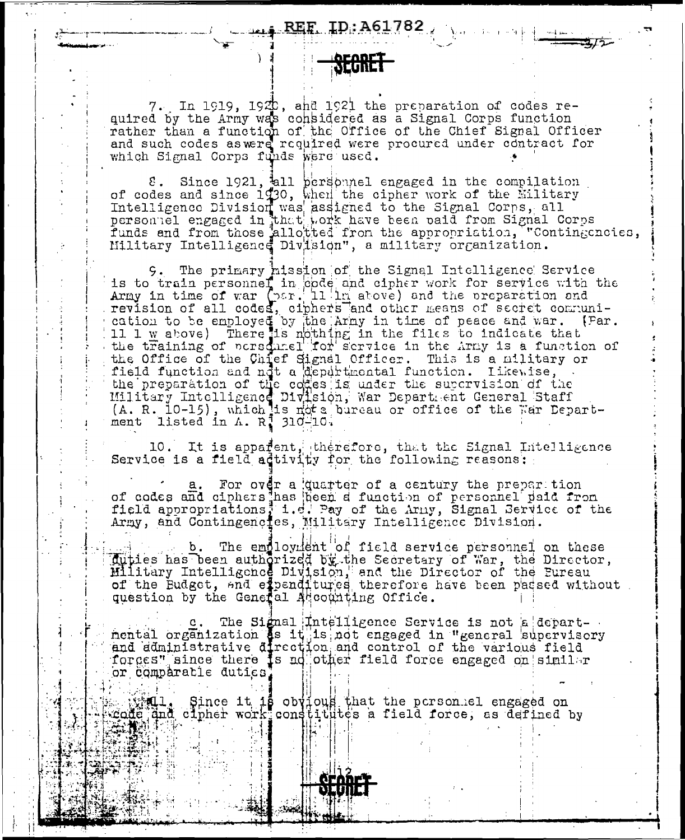7. In 1919, 1920, and 1921 the preparation of codes required by the Army was considered as a Signal Corps function rather than a function of the Office of the Chief Signal Officer and such codes aswere required were procured under contract for which Signal Corps funds were used.

8. Since 1921, all bersonnel engaged in the compilation<br>of codes and since 1730, when the cipher work of the Military Intelligence Division was assigned to the Signal Corps, all<br>personnel engaged in that pork have been paid from Signal Corps funds and from those allotted from the appropriation, "Contingencies, Military Intelligence Division", a military organization.

9. The primary hission of the Signal Intelligence Service is to train personnel in opde and cipher work for service with the Army in time of war (par. 11 in above) and the preparation and<br>revision of all codes, ciphers and other means of secret communication to be employed by the Army in time of peace and war. (Far. 11 1  $\underline{w}$  above) There is nothing in the files to indicate that the training of personnel for scrvice in the Army is a function of the Office of the Chief Signal Officer. This is a hundred of the Chief Signal Officer. This is a hilitary or<br>field function and not a departmental function. Likewise, the preparation of the cocas is under the supervision of the<br>Military Intelligence Division, War Department General Staff<br>(A. R. 10-15), which is not a bureau or office of the War Department listed in  $\Lambda$ . R<sup>1</sup> 310-10.

10. It is apparent, therefore, that the Signal Intelligence<br>Service is a field adtivity for the following reasons:

For over a quarter of a century the prepartion of codes and ciphers has been a function of personnel paid from<br>field appropriations, i.e. Pay of the Army, Signal Service of the<br>Army, and Contingenctes, Military Intelligence Division.

b. The employment of field service personnel on these duties has been authorized by the Secretary of War, the Director,<br>Military Intelligence Division, and the Director of the Eureau<br>of the Eudget, and expenditured therefore have been packed without question by the General Agoounting Office.

c. The Signal Intelligence Service is not a departnental organization as it is not engaged in "general supervisory and administrative direction and control of the various field forges" since there is no other field force engaged on similar or comparable duties

iQ1, Since it is obvious that the person el engaged on<br>jand clipher work constitutes a field force, as defined by **WAL.** code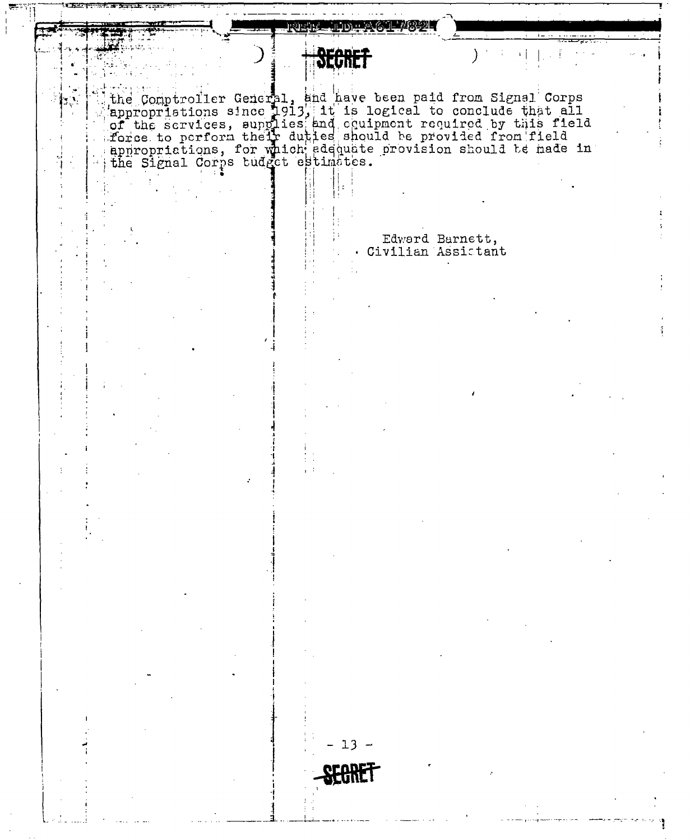